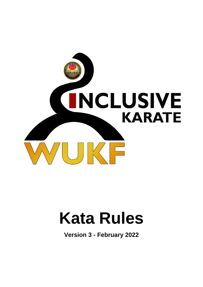

# **Kata Rules**

**Version 3 - February 2022**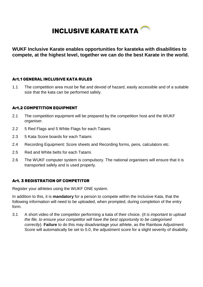# **INCLUSIVE KARATE KATA**

**WUKF Inclusive Karate enables opportunities for karateka with disabilities to compete, at the highest level, together we can do the best Karate in the world.**

# **Art.1 GENERAL INCLUSIVE KATA RULES**

1.1 The competition area must be flat and devoid of hazard, easily accessible and of a suitable size that the kata can be performed safely.

# **Art.2 COMPETITION EQUIPMENT**

- 2.1 The competition equipment will be prepared by the competition host and the WUKF organiser.
- 2.2 5 Red Flags and 5 White Flags for each Tatami.
- 2.3 5 Kata Score boards for each Tatami.
- 2.4 Recording Equipment: Score sheets and Recording forms, pens, calculators etc.
- 2.5 Red and White belts for each Tatami.
- 2.6 The WUKF computer system is compulsory. The national organisers will ensure that it is transported safely and is used properly.

# **Art. 3 REGISTRATION OF COMPETITOR**

Register your athletes using the WUKF ONE system.

In addition to this, it is **mandatory** for a person to compete within the Inclusive Kata, that the following information will need to be uploaded, when prompted, during completion of the entry form.

3.1 A short video of the competitor performing a kata of their choice. (*It is important to upload the file, to ensure your competitor will have the best opportunity to be categorised correctly*). **Failure** to do this may disadvantage your athlete, as the Rainbow Adjustment Score will automatically be set to 0.0, the adjustment score for a slight severity of disability.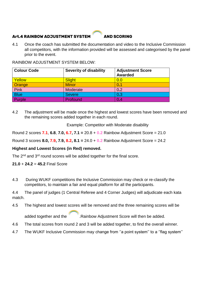# **Art.4 RAINBOW ADJUSTMENT SYSTEM AND SCORING**



4.1 Once the coach has submitted the documentation and video to the Inclusive Commission all competitors, with the information provided will be assessed and categorised by the panel prior to the event.

RAINBOW ADJUSTMENT SYSTEM BELOW:

| <b>Colour Code</b> | <b>Severity of disability</b> | <b>Adjustment Score</b><br><b>Awarded</b> |
|--------------------|-------------------------------|-------------------------------------------|
| Yellow             | <b>Slight</b>                 | 0.0                                       |
| Orange             | <b>Minor</b>                  | 0.1                                       |
| Pink               | Moderate                      | 0.2                                       |
| <b>Blue</b>        | <b>Severe</b>                 | 0.3                                       |
| Purple             | Profound                      | 0.4                                       |

4.2 The adjustment will be made once the highest and lowest scores have been removed and the remaining scores added together in each round.

Example: Competitor with Moderate disability

Round 2 scores **7.1**, **6.8**, **7.0, 6.7, 7.1 =** 20.8 + **0.2** Rainbow Adjustment Score = 21.0

Round 3 scores **8.0, 7.9, 7.9, 8.2, 8.1 =** 24.0 + **0.2** Rainbow Adjustment Score = 24.2

# **Highest and Lowest Scores (in Red) removed.**

The 2<sup>nd</sup> and 3<sup>rd</sup> round scores will be added together for the final score.

**21.0** + **24.2** = **45.2** Final Score

4.3 During WUKF competitions the Inclusive Commission may check or re-classify the competitors, to maintain a fair and equal platform for all the participants.

4.4 The panel of judges (1 Central Referee and 4 Corner Judges) will adjudicate each kata match.

4.5 The highest and lowest scores will be removed and the three remaining scores will be

added together and the .Rainbow Adjustment Score will then be added.

- 4.6 The total scores from round 2 and 3 will be added together, to find the overall winner.
- 4.7 The WUKF Inclusive Commission may change from ''a point system'' to a ''flag system''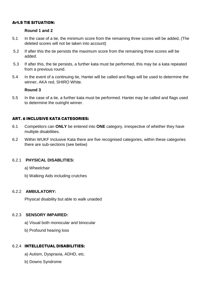# **Art.5 TIE SITUATION:**

# **Round 1 and 2**

- 5.1 In the case of a tie, the minimum score from the remaining three scores will be added, (The deleted scores will not be taken into account)
- 5.2 If after this the tie persists the maximum score from the remaining three scores will be added.
- 5.3 If after this, the tie persists, a further kata must be performed, this may be a kata repeated from a previous round.
- 5.4 In the event of a continuing tie, Hantei will be called and flags will be used to determine the winner, AKA red, SHIRO White.

### **Round 3**

5.5 In the case of a tie, a further kata must be performed. Hantei may be called and flags used to determine the outright winner.

# **ART. 6 INCLUSIVE KATA CATEGORIES:**

- 6.1 Competitors can **ONLY** be entered into **ONE** category, irrespective of whether they have multiple disabilities.
- 6.2 Within WUKF Inclusive Kata there are five recognised categories, within these categories there are sub-sections (see below)

# 6.2.1 **PHYSICAL DISABLITIES:**

- a) Wheelchair
- b) Walking Aids including crutches

### 6.2.2 **AMBULATORY:**

Physical disability but able to walk unaided

## 6.2.3 **SENSORY IMPAIRED:**

- a) Visual both monocular and binocular
- b) Profound hearing loss

# 6.2.4 **INTELLECTUAL DISABILITIES:**

- a) Autism, Dyspraxia, ADHD, etc.
- b) Downs Syndrome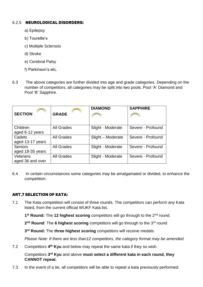# 6.2.5 **NEUROLOGICAL DISORDERS:**

- a) Epilepsy
- b) Tourette's
- c) Multiple Sclerosis
- d) Stroke
- e) Cerebral Palsy
- f) Parkinson's etc.
- 6.3 The above categories are further divided into age and grade categories. Depending on the number of competitors, all categories may be split into two pools. Pool 'A' Diamond and Pool 'B' Sapphire.

| <b>SECTION</b>                     | <b>GRADE</b>      | <b>DIAMOND</b>    | <b>SAPPHIRE</b>   |
|------------------------------------|-------------------|-------------------|-------------------|
|                                    |                   |                   |                   |
| Children<br>aged 6-12 years        | <b>All Grades</b> | Slight - Moderate | Severe - Profound |
| Cadets<br>aged 13-17 years         | <b>All Grades</b> | Slight - Moderate | Severe - Profound |
| <b>Seniors</b><br>aged 18-35 years | <b>All Grades</b> | Slight - Moderate | Severe - Profound |
| Veterans<br>aged 36 and over       | <b>All Grades</b> | Slight - Moderate | Severe - Profound |

6.4 In certain circumstances some categories may be amalgamated or divided, to enhance the competition.

# **ART.7 SELECTION OF KATA:**

7.1 The Kata competition will consist of three rounds. The competitors can perform any Kata listed, from the current official WUKF Kata list.

1<sup>st</sup> Round: The 12 highest scoring competitors will go through to the 2<sup>nd</sup> round.

2<sup>nd</sup> Round: The 6 highest scoring competitors will go through to the 3<sup>rd</sup> round

**3 rd Round:** The **three highest scoring** competitors will receive medals.

*Please Note: If there are less than12 competitors, the category format may be amended.*

7.2 Competitors 4<sup>th</sup> Kyu and below may repeat the same kata if they so wish.

Competitors **3 rd Kyu** and above **must select a different kata in each round, they CANNOT repeat.**

7.3 In the event of a tie, all competitors will be able to repeat a kata previously performed.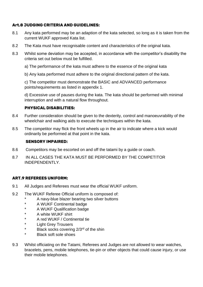# **Art.8 JUDGING CRITERIA AND GUIDELINES:**

- 8.1 Any kata performed may be an adaption of the kata selected, so long as it is taken from the current WUKF approved Kata list.
- 8.2 The Kata must have recognisable content and characteristics of the original kata.
- 8.3 Whilst some deviation may be accepted, in accordance with the competitor's disability the criteria set out below must be fulfilled.
	- a) The performance of the kata must adhere to the essence of the original kata
	- b) Any kata performed must adhere to the original directional pattern of the kata.

c) The competitor must demonstrate the BASIC and ADVANCED performance points/requirements as listed in appendix 1.

d) Excessive use of pauses during the kata. The kata should be performed with minimal interruption and with a natural flow throughout.

# **PHYSICAL DISABILITIES:**

- 8.4 Further consideration should be given to the dexterity, control and manoeuvrability of the wheelchair and walking aids to execute the techniques within the kata.
- 8.5 The competitor may flick the front wheels up in the air to indicate where a kick would ordinarily be performed at that point in the kata.

# **SENSORY IMPAIRED:**

- 8.6 Competitors may be escorted on and off the tatami by a guide or coach.
- 8.7 IN ALL CASES THE KATA MUST BE PERFORMED BY THE COMPETITOR INDEPENDENTLY.

# **ART.9 REFEREES UNIFORM:**

- 9.1 All Judges and Referees must wear the official WUKF uniform.
- 9.2 The WUKF Referee Official uniform is composed of:
	- A navy-blue blazer bearing two silver buttons
	- \* A WUKF Continental badge
	- \* A WUKF Qualification badge
	- \* A white WUKF shirt
	- \* A red WUKF / Continental tie
	- \* Light Grey Trousers
	- \* Black socks covering 2/3<sup>rd</sup> of the shin
	- **Black soft sole shoes**
- 9.3 Whilst officiating on the Tatami, Referees and Judges are not allowed to wear watches, bracelets, pens, mobile telephones, tie-pin or other objects that could cause injury, or use their mobile telephones.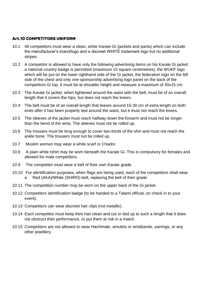# **Art.10 COMPETITORS UNIFORM**

- 10.1 All competitors must wear a clean, white Karate-Gi (jackets and pants) which can include the manufacturer's brand/logo and a discreet WHITE trademark logo but no additional stripes.
- 10.2 A competitor is allowed to have only the following advertising items on his Karate Gi jacket: a national country badge is permitted (maximum 10 square centimetres), the WUKF logo which will be put on the lower righthand side of the Gi jacket, the federation logo on the left side of the chest and only one sponsorship advertising logo panel on the back of the competitors Gi top. It must be at shoulder height and measure a maximum of 30x15 cm.
- 10.3 The Karate Gi jacket, when tightened around the waist with the belt, must be of an overall length that it covers the hips, but does not reach the knees.
- 10.4 The belt must be of an overall length that leaves around 15-30 cm of extra length on both ends after it has been properly tied around the waist, but it must not reach the knees.
- 10.5 The sleeves of the jacket must reach halfway down the forearm and must not be longer than the bend of the wrist. The sleeves must not be rolled up.
- 10.6 The trousers must be long enough to cover two-thirds of the shin and must not reach the ankle bone. The trousers must not be rolled up.
- 10.7 Muslim women may wear a white scarf or Chador.
- 10.8 A plain white tshirt may be worn beneath the Karate Gi. This is compulsory for females and allowed for male competitors.
- 10.9 The competitor must wear a belt of their own Karate grade.
- 10.10 For identification purposes, when flags are being used, each of the competitors shall wear a Red (AKA)/White (SHIRO) belt, replacing the belt of their grade.
- 10.11 The competition number may be worn on the upper back of the Gi jacket.
- 10.12 Competitors identification badge (to be handed to a Tatami official, on check in to your event).
- 10.13 Competitors can wear discreet hair clips (not metallic)
- 10.14 Each competitor must keep their hair clean and cut or tied up to such a length that it does not obstruct their performance, or put them at risk in a match.
- 10.15 Competitors are not allowed to wear Hachimaki, amulets or wristbands, earrings, or any other jewellery.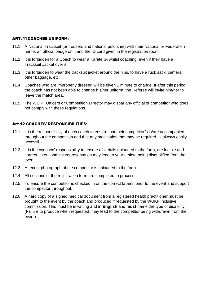# **ART. 11 COACHES UNIFORM:**

- 11.1 A National Tracksuit (or trousers and national polo shirt) with their National or Federation name, an official badge on it and the ID card given in the registration room.
- 11.2 It is forbidden for a Coach to wear a Karate Gi whilst coaching, even if they have a Tracksuit Jacket over it.
- 11.3 It is forbidden to wear the tracksuit jacket around the hips, to have a ruck sack, camera, other baggage, etc
- 11.4 Coaches who are improperly dressed will be given 1 minute to change. If after this period the coach has not been able to change his/her uniform, the Referee will invite him/her to leave the match area.
- 11.5 The WUKF Officers or Competition Director may disbar any official or competitor who does not comply with these regulations.

# **Art.12 COACHES' RESPONSIBILITIES:**

- 12.1 It is the responsibility of each coach to ensure that their competitor/s is/are accompanied throughout the competition and that any medication that may be required, is always easily accessible.
- 12.2 It is the coaches' responsibility to ensure all details uploaded to the form, are legible and correct. Intentional misrepresentation may lead to your athlete being disqualified from the event.
- 12.3 A recent photograph of the competitor is uploaded to the form.
- 12.4 All sections of the registration form are completed to process.
- 12.5 To ensure the competitor is checked in on the correct tatami, prior to the event and support the competitor throughout.
- 12.6 A hard copy of a signed medical document from a registered health practitioner must be brought to the event by the coach and produced if requested by the WUKF Inclusive commission. This must be in writing and in **English** and **must** name the type of disability. (Failure to produce when requested, may lead to the competitor being withdrawn from the event)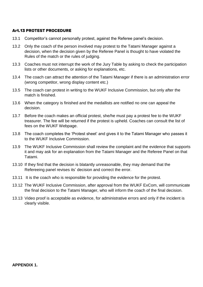# **Art.13 PROTEST PROCEDURE**

- 13.1 Competitor's cannot personally protest, against the Referee panel's decision.
- 13.2 Only the coach of the person involved may protest to the Tatami Manager against a decision, when the decision given by the Referee Panel is thought to have violated the Rules of the match or the rules of judging.
- 13.3 Coaches must not interrupt the work of the Jury Table by asking to check the participation lists or other documents, or asking for explanations, etc.
- 13.4 The coach can attract the attention of the Tatami Manager if there is an administration error (wrong competitor, wrong display content etc.)
- 13.5 The coach can protest in writing to the WUKF Inclusive Commission, but only after the match is finished.
- 13.6 When the category is finished and the medallists are notified no one can appeal the decision.
- 13.7 Before the coach makes an official protest, she/he must pay a protest fee to the WUKF treasurer. The fee will be returned if the protest is upheld. Coaches can consult the list of fees on the WUKF Webpage.
- 13.8 The coach completes the 'Protest sheet' and gives it to the Tatami Manager who passes it to the WUKF Inclusive Commission.
- 13.9 The WUKF Inclusive Commission shall review the complaint and the evidence that supports it and may ask for an explanation from the Tatami Manager and the Referee Panel on that Tatami.
- 13.10 If they find that the decision is blatantly unreasonable, they may demand that the Refereeing panel revises its' decision and correct the error.
- 13.11 It is the coach who is responsible for providing the evidence for the protest.
- 13.12 The WUKF Inclusive Commission, after approval from the WUKF ExCom, will communicate the final decision to the Tatami Manager, who will inform the coach of the final decision.
- 13.13 Video proof is acceptable as evidence, for administrative errors and only if the incident is clearly visible.

#### **APPENDIX 1.**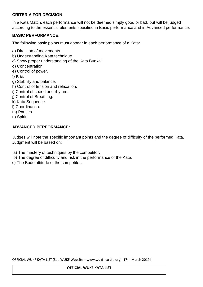# **CRITERIA FOR DECISION**

In a Kata Match, each performance will not be deemed simply good or bad, but will be judged according to the essential elements specified in Basic performance and in Advanced performance:

# **BASIC PERFORMANCE:**

The following basic points must appear in each performance of a Kata:

- a) Direction of movements.
- b) Understanding Kata technique.
- c) Show proper understanding of the Kata Bunkai.
- d) Concentration.
- e) Control of power.
- f) Kiai.
- g) Stability and balance.
- h) Control of tension and relaxation.
- i) Control of speed and rhythm.
- j) Control of Breathing.
- k) Kata Sequence
- l) Coordination.
- m) Pauses
- n) Spirit.

### **ADVANCED PERFORMANCE:**

Judges will note the specific important points and the degree of difficulty of the performed Kata. Judgment will be based on:

- a) The mastery of techniques by the competitor.
- b) The degree of difficulty and risk in the performance of the Kata.
- c) The Budo attitude of the competitor.

OFFICIAL WUKF KATA LIST (See WUKF Website – www.wukf-Karate.org) [17th March 2019]

#### **OFFICIAL WUKF KATA LIST**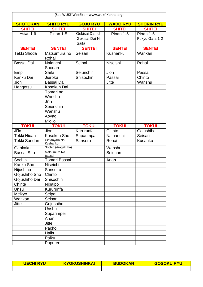| (See WUKF WebSite - www.wukf-Karate.org) |                           |                  |                 |                   |
|------------------------------------------|---------------------------|------------------|-----------------|-------------------|
| <b>SHOTOKAN</b>                          | <b>SHITO RYU</b>          | <b>GOJU RYU</b>  | <b>WADO RYU</b> | <b>SHORIN RYU</b> |
| <b>SHITEI</b>                            | <b>SHITEI</b>             | <b>SHITEI</b>    | <b>SHITEI</b>   | <b>SHITEI</b>     |
| Heian 1-5                                | Pinan 1-5                 | Gekisai Dai Ichi | Pinan 1-5       | Pinan 1-5         |
|                                          |                           | Gekisai Dai Ni   |                 | Fukyu Gata 1-2    |
|                                          |                           | Saifa            |                 |                   |
| <b>SENTEI</b>                            | <b>SENTEI</b>             | <b>SENTEI</b>    | <b>SENTEI</b>   | <b>SENTEI</b>     |
| Tekki Shoda                              | Matsumura no<br>Rohai     | Seisan           | Kushanku        | Wankan            |
| Bassai Dai                               | Naianchi<br>Shodan        | Seipai           | Niseishi        | Rohai             |
| Empi                                     | Saifa                     | Seiunchin        | Jion            | Passai            |
| Kanku Dai                                | Jiuroku                   | Shisochin        | Passai          | Chinto            |
| Jion                                     | Bassai Dai                |                  | <b>Jitte</b>    | Wanshu            |
| Hangetsu                                 | Kosokun Dai               |                  |                 |                   |
|                                          | Tomari no<br>Wanshu       |                  |                 |                   |
|                                          | Ji'in                     |                  |                 |                   |
|                                          | Seienchin                 |                  |                 |                   |
|                                          | Wanshu                    |                  |                 |                   |
|                                          | Aoyagi                    |                  |                 |                   |
|                                          | Miojio                    |                  |                 |                   |
| <b>TOKUI</b>                             | <b>TOKUI</b>              | <b>TOKUI</b>     | <b>TOKUI</b>    | <b>TOKUI</b>      |
| Ji'in                                    | Jion                      | Kururunfa        | Chinto          | Gojushiho         |
| <b>Tekki Nidan</b>                       | Kosokun Sho               | Suparimpai       | Naihanchi       | Seisan            |
| <b>Tekki Sandan</b>                      | Ciatanyara No<br>Kushanku | Sanseru          | Rohai           | Kusanku           |
| Gankaku                                  | Sochin (Aragaki ha)       |                  | Wanshu          |                   |
| Bassai Sho                               | Matsumura No<br>Bassai    |                  | Seishan         |                   |
| Sochin                                   | Tomari Bassai             |                  | Anan            |                   |
| Kanku Sho                                | Niseichi                  |                  |                 |                   |
| Nijushiho                                | Sanseiru                  |                  |                 |                   |
| Gojushiho Sho                            | Chinto                    |                  |                 |                   |
| Gojushiho Dai                            | Shisochin                 |                  |                 |                   |
| Chinte                                   | Nipaipo                   |                  |                 |                   |
| Unsu                                     | Kururunfa                 |                  |                 |                   |
| Meikyo                                   | Seipai                    |                  |                 |                   |
| Wankan                                   | Seisan                    |                  |                 |                   |
| Jitte                                    | Gojushiho                 |                  |                 |                   |
|                                          | Unshu                     |                  |                 |                   |
|                                          | Suparimpei                |                  |                 |                   |
|                                          | Anan                      |                  |                 |                   |
|                                          | <b>Jitte</b>              |                  |                 |                   |
|                                          | Pacho                     |                  |                 |                   |
|                                          | Haiku                     |                  |                 |                   |
|                                          | Paiku                     |                  |                 |                   |
|                                          | Papuren                   |                  |                 |                   |

| <b>UECHI RYU</b> | <b>KYOKUSHINKAI</b> | <b>BUDOKAN</b> | <b>GOSOKU RYU</b> |
|------------------|---------------------|----------------|-------------------|
|                  |                     |                |                   |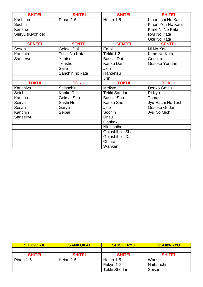| <b>SHITEI</b>     | <b>SHITEI</b>   | <b>SHITEI</b>       | <b>SHITEI</b>      |
|-------------------|-----------------|---------------------|--------------------|
| Kashima           | Plnan 1-5       | Heian 1-5           | Kihon Ichi No Kata |
| Sechin            |                 |                     | Kihon Yon No Kata  |
| Kanshu            |                 |                     | Klme Ni No Kata    |
| Seiryu (Kiyohide) |                 |                     | Ryu No Kata        |
|                   |                 |                     | Uke No Kata        |
| <b>SENTEI</b>     | <b>SENTEI</b>   | <b>SENTEI</b>       | <b>SENTEI</b>      |
| Sesan             | Geksai Dai      | Empi                | Ni No Kata         |
| Kanchin           | Tsuki No Kata   | Tekki 1-2           | Kime No Kata       |
| Sanseryu          | Yantsu          | Bassai Dai          | Gosoku             |
|                   | Tensho          | Kanku Dai           | Gosoku Yondan      |
|                   | Saifa           | <b>Jion</b>         |                    |
|                   | Sanchin no kata | Hangetsu            |                    |
|                   |                 | Ji'in               |                    |
|                   |                 |                     |                    |
| <b>TOKUI</b>      | <b>TOKUI</b>    | <b>TOKUI</b>        | <b>TOKUI</b>       |
| Kanshiva          | Seisnchin       | Meikyo              | Denko Getsu        |
| Seichin           | Kanku Dai       | <b>Tekki Sandan</b> | Ri Kyu             |
| Kanshu            | Geksai Sho      | Bassai Sho          | Tamashi            |
| Seiryu            | Sushi Ho        | Kanku Sho           | Jyu Hachi No Tachi |
| Sesan             | Garyu           | <b>Jitte</b>        | Gosoku Godan       |
| Kanchin           | Seipai          | Sochin              | Jyu No Michi       |
| Sanseiryu         |                 | Unsu                |                    |
|                   |                 | Gankaku             |                    |
|                   |                 | Ninjushiho          |                    |
|                   |                 | Gojushiho - Sho     |                    |
|                   |                 | Gojushiho - Dai     |                    |
|                   |                 | Chinte              |                    |

| <b>SHUKOKAI</b> | <b>SANKUKAI</b> | <b>SHISUI RYU</b> | <b>ISSHIN-RYU</b> |
|-----------------|-----------------|-------------------|-------------------|
|                 |                 |                   |                   |
| <b>SHITEI</b>   | <b>SHITEI</b>   | <b>SHITEI</b>     | <b>SHITEI</b>     |
| Pinan 1-5       | Heian 1-5       | Heian 1-5         | Wansu             |
|                 |                 | Fukyu 1-2         | Naihanchi         |
|                 |                 | Tekki Shodan      | Seisan            |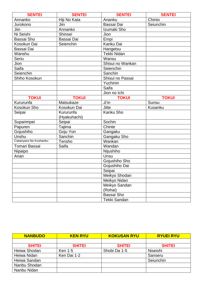| <b>SENTEI</b>          | <b>SENTEI</b> | <b>SENTEI</b>      | <b>SENTEI</b> |
|------------------------|---------------|--------------------|---------------|
| Annanko                | Hiji No Kata  | Ananku             | Chinto        |
| Jurokono               | Jiin          | Bassai Dai         | Seiunchin     |
| Jiin                   | Annanko       | Izumaki Sho        |               |
| Ni Seishi              | Shinsei       | Jion               |               |
| Bassai Sho             | Bassai Dai    | Empi               |               |
| Kosokun Dai            | Seienchin     | Kanku Dai          |               |
| Bassai Dai             |               | Hangetsu           |               |
| Wanshu                 |               | <b>Tekki Nidan</b> |               |
| Seriu                  |               | Wansu              |               |
| Jion                   |               | Shisui no Wankan   |               |
| Saifa                  |               | Seienchin          |               |
| Seienchin              |               | Sanchin            |               |
| Shiho Kosokun          |               | Shisui no Passai   |               |
|                        |               | Yuchinin           |               |
|                        |               | Saifa              |               |
|                        |               | Jion no Ichi       |               |
| <b>TOKUI</b>           | <b>TOKUI</b>  | <b>TOKUI</b>       | <b>TOKUI</b>  |
| Kururunfa              | Matsukaze     | Ji'in              | Sunsu         |
| Kosokun Sho            | Kosokun Dai   | Jitte              | Kusanku       |
| Seipai                 | Kururunfa     | Kanku Sho          |               |
|                        | (Hyakuhachi)  |                    |               |
| Suparimpei             | Seipai        | Sochin             |               |
| Papuren                | Tajima        | Chinte             |               |
| Gojushiho              | Goju Yon      | Gangaku            |               |
| Unshu                  | Sanchin       | Gangaku Sho        |               |
| Ciatanyara No Kushanku | Tensho        | Wankan             |               |
| Tomari Bassai          | Saifa         | Wandan             |               |
| Nipaipo                |               | Nijushiho          |               |
| Anan                   |               | Unsu               |               |
|                        |               | Gojushiho Sho      |               |
|                        |               | Gojushiho Dai      |               |
|                        |               | Seipai             |               |
|                        |               | Meikyo Shodan      |               |
|                        |               | Meikyo Nidan       |               |
|                        |               | Meikyo Sandan      |               |
|                        |               | (Rohai)            |               |
|                        |               | Bassai Sho         |               |
|                        |               | Tekki Sandan       |               |

| <b>NANBUDO</b> | <b>KEN RYU</b> | <b>KOKUSAN RYU</b> | <b>RYUEI RYU</b> |
|----------------|----------------|--------------------|------------------|
|                |                |                    |                  |
| <b>SHITEI</b>  | <b>SHITEI</b>  | <b>SHITEI</b>      | <b>SHITEI</b>    |
| Heiwa Shodan   | <b>Ken 1-5</b> | Shobi Da 1-5       | Niseishi         |
| Heiwa Nidan    | Ken Dai 1-2    |                    | Sanseru          |
| Heiwa Sandan   |                |                    | Seiunchin        |
| Nanbu Shodan   |                |                    |                  |
| Nanbu Nidan    |                |                    |                  |